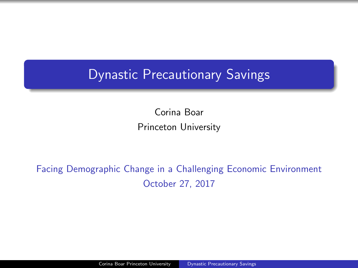# <span id="page-0-0"></span>Dynastic Precautionary Savings

Corina Boar Princeton University

## Facing Demographic Change in a Challenging Economic Environment October 27, 2017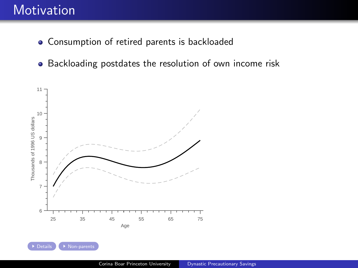# **Motivation**

- <span id="page-1-0"></span>Consumption of retired parents is backloaded
- Backloading postdates the resolution of own income risk



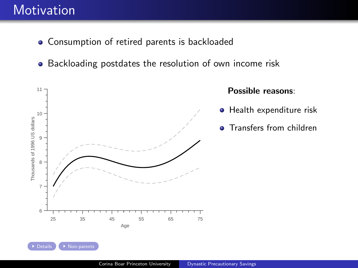# **Motivation**

- **Consumption of retired parents is backloaded**
- Backloading postdates the resolution of own income risk

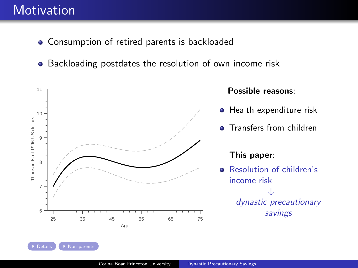# **Motivation**

- **Consumption of retired parents is backloaded**
- Backloading postdates the resolution of own income risk

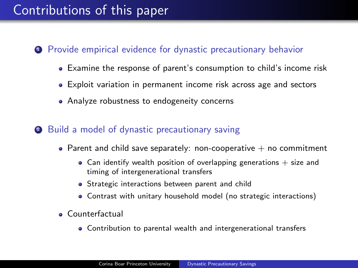# Contributions of this paper

## **1** Provide empirical evidence for dynastic precautionary behavior

- Examine the response of parent's consumption to child's income risk
- Exploit variation in permanent income risk across age and sectors
- Analyze robustness to endogeneity concerns

## <sup>2</sup> Build a model of dynastic precautionary saving

- Parent and child save separately: non-cooperative  $+$  no commitment
	- Can identify wealth position of overlapping generations  $+$  size and timing of intergenerational transfers
	- **•** Strategic interactions between parent and child
	- Contrast with unitary household model (no strategic interactions)
- Counterfactual
	- Contribution to parental wealth and intergenerational transfers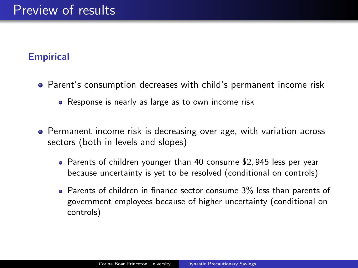## **Empirical**

- Parent's consumption decreases with child's permanent income risk
	- Response is nearly as large as to own income risk
- **•** Permanent income risk is decreasing over age, with variation across sectors (both in levels and slopes)
	- Parents of children younger than 40 consume \$2,945 less per year because uncertainty is yet to be resolved (conditional on controls)
	- Parents of children in finance sector consume 3% less than parents of government employees because of higher uncertainty (conditional on controls)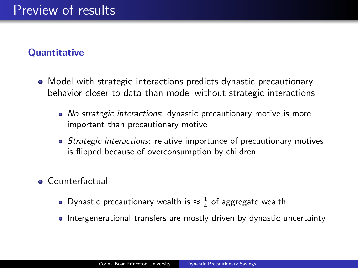## **Quantitative**

- Model with strategic interactions predicts dynastic precautionary behavior closer to data than model without strategic interactions
	- No strategic interactions: dynastic precautionary motive is more important than precautionary motive
	- Strategic interactions: relative importance of precautionary motives is flipped because of overconsumption by children
- Counterfactual
	- Dynastic precautionary wealth is  $\approx \frac{1}{4}$  of aggregate wealth
	- Intergenerational transfers are mostly driven by dynastic uncertainty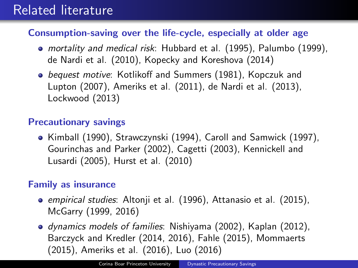# Related literature

## Consumption-saving over the life-cycle, especially at older age

- mortality and medical risk: Hubbard et al. (1995), Palumbo (1999), de Nardi et al. (2010), Kopecky and Koreshova (2014)
- **•** bequest motive: Kotlikoff and Summers (1981), Kopczuk and Lupton (2007), Ameriks et al. (2011), de Nardi et al. (2013), Lockwood (2013)

## Precautionary savings

Kimball (1990), Strawczynski (1994), Caroll and Samwick (1997), Gourinchas and Parker (2002), Cagetti (2003), Kennickell and Lusardi (2005), Hurst et al. (2010)

## Family as insurance

- empirical studies: Altonji et al. (1996), Attanasio et al. (2015), McGarry (1999, 2016)
- dynamics models of families: Nishiyama (2002), Kaplan (2012), Barczyck and Kredler (2014, 2016), Fahle (2015), Mommaerts (2015), Ameriks et al. (2016), Luo (2016)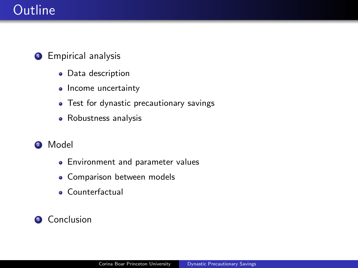# **Outline**

## **•** Empirical analysis

- Data description
- Income uncertainty
- Test for dynastic precautionary savings
- Robustness analysis
- <sup>2</sup> Model
	- **•** Environment and parameter values
	- **Comparison between models**
	- Counterfactual

## **3** Conclusion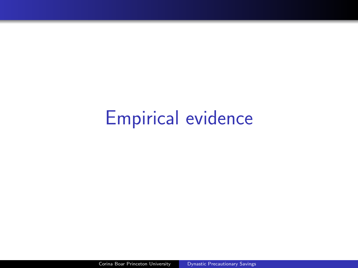# Empirical evidence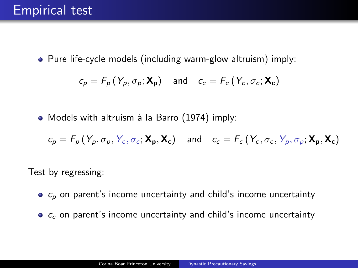# Empirical test

• Pure life-cycle models (including warm-glow altruism) imply:

$$
c_p = F_p(Y_p, \sigma_p; \mathbf{X_p}) \quad \text{and} \quad c_c = F_c(Y_c, \sigma_c; \mathbf{X_c})
$$

• Models with altruism à la Barro (1974) imply:

$$
c_p = \bar{F}_p(Y_p, \sigma_p, Y_c, \sigma_c; \mathbf{X}_p, \mathbf{X}_c) \quad \text{and} \quad c_c = \bar{F}_c(Y_c, \sigma_c, Y_p, \sigma_p; \mathbf{X}_p, \mathbf{X}_c)
$$

Test by regressing:

- $\bullet$   $c_n$  on parent's income uncertainty and child's income uncertainty
- $\bullet$   $c_c$  on parent's income uncertainty and child's income uncertainty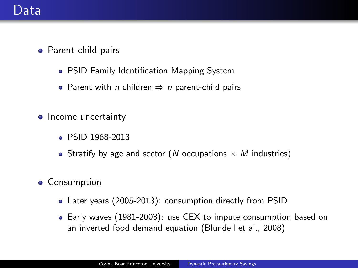## Data

- Parent-child pairs
	- PSID Family Identification Mapping System
	- Parent with *n* children  $\Rightarrow$  *n* parent-child pairs
- Income uncertainty
	- PSID 1968-2013
	- Stratify by age and sector (N occupations  $\times$  M industries)
- **•** Consumption
	- Later years (2005-2013): consumption directly from PSID
	- Early waves (1981-2003): use CEX to impute consumption based on an inverted food demand equation (Blundell et al., 2008)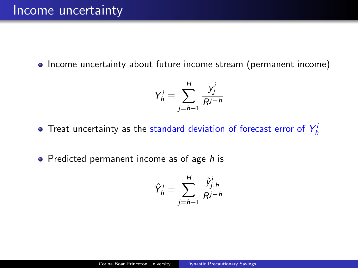• Income uncertainty about future income stream (permanent income)

$$
Y_h^i \equiv \sum_{j=h+1}^H \frac{y_j^i}{R^{j-h}}
$$

- Treat uncertainty as the standard deviation of forecast error of  $Y_h^i$
- $\bullet$  Predicted permanent income as of age h is

$$
\hat{Y}_h^i \equiv \sum_{j=h+1}^H \frac{\hat{Y}_{j,h}^i}{R^{j-h}}
$$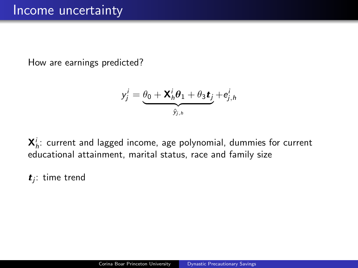How are earnings predicted?

$$
y_j^i = \underbrace{\theta_0 + \mathbf{X}_h^i \theta_1 + \theta_3 \mathbf{t}_j}_{\hat{y}_{j,h}} + e_{j,h}^i
$$

 $\mathsf{X}_h^i$ : current and lagged income, age polynomial, dummies for current educational attainment, marital status, race and family size

 $t_j$ : time trend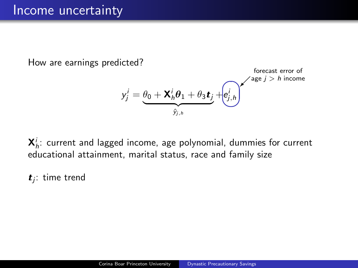How are earnings predicted?

$$
y_j^i = \underbrace{\theta_0 + \mathbf{X}_h^i \theta_1 + \theta_3 \mathbf{t}_j}_{\hat{y}_{j,h}} + \underbrace{\left(e_{j,h}^i\right)}_{\mathbf{X}_{j,h}} \mathbf{X}_{\text{aige }j > h \text{ income}}
$$

 $\mathsf{X}_h^i$ : current and lagged income, age polynomial, dummies for current educational attainment, marital status, race and family size

 $t_j$ : time trend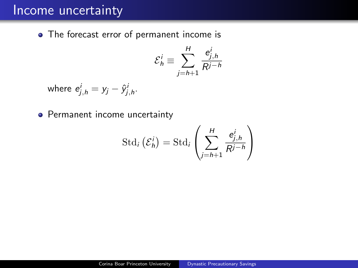## Income uncertainty

<span id="page-15-0"></span>• The forecast error of permanent income is

$$
\mathcal{E}_h^i \equiv \sum_{j=h+1}^H \frac{e_{j,h}^i}{R^{j-h}}
$$

where  $e^i_{j,h} = y_j - \hat{y}^i_{j,h}$ .

• Permanent income uncertainty

$$
\operatorname{Std}_i\left(\mathcal{E}_h^i\right) = \operatorname{Std}_i\left(\sum_{j=h+1}^H \frac{e_{j,h}^i}{R^{j-h}}\right)
$$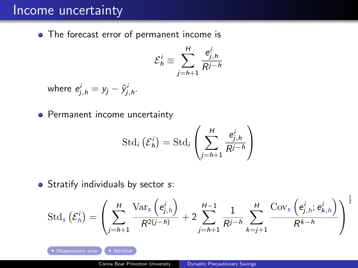## Income uncertainty

• The forecast error of permanent income is

$$
\mathcal{E}_h^i \equiv \sum_{j=h+1}^H \frac{e_{j,h}^i}{R^{j-h}}
$$

where  $e^i_{j,h} = y_j - \hat{y}^i_{j,h}$ .

• Permanent income uncertainty

$$
\operatorname{Std}_i\left(\mathcal{E}_h^i\right) = \operatorname{Std}_i\left(\sum_{j=h+1}^H \frac{e_{j,h}^i}{R^{j-h}}\right)
$$

 $\bullet$  Stratify individuals by sector  $s$ :

$$
\text{Std}_{s}(\mathcal{E}_{h}^{i}) = \left(\sum_{j=h+1}^{H} \frac{\text{Var}_{s}\left(e_{j,h}^{i}\right)}{R^{2(j-h)}} + 2\sum_{j=h+1}^{H-1} \frac{1}{R^{j-h}} \sum_{k=j+1}^{H} \frac{\text{Cov}_{s}\left(e_{j,h}^{i}; e_{k,h}^{i}\right)}{R^{k-h}}\right)^{\frac{1}{2}}
$$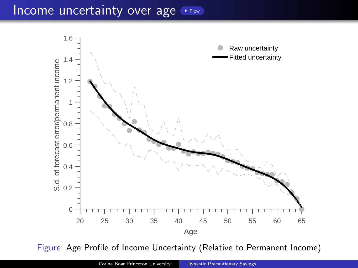## Income uncertainty over age  $\cdot$  [Flow](#page-43-0)

<span id="page-17-0"></span>

Figure: Age Profile of Income Uncertainty (Relative to Permanent Income)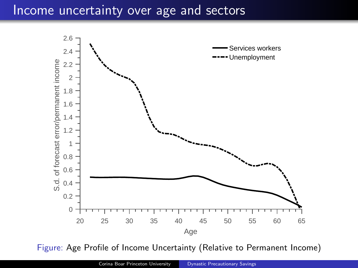## Income uncertainty over age and sectors



Figure: Age Profile of Income Uncertainty (Relative to Permanent Income)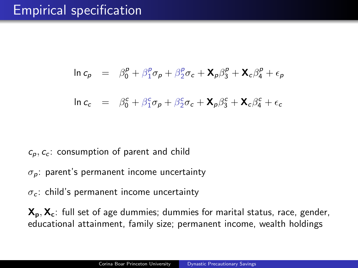# Empirical specification

$$
\ln c_p = \beta_0^p + \beta_1^p \sigma_p + \beta_2^p \sigma_c + \mathbf{X}_p \beta_3^p + \mathbf{X}_c \beta_4^p + \epsilon_p
$$

$$
\ln c_c = \beta_0^c + \beta_1^c \sigma_p + \beta_2^c \sigma_c + \mathbf{X}_p \beta_3^c + \mathbf{X}_c \beta_4^c + \epsilon_c
$$

### $c_p, c_c$ : consumption of parent and child

- $\sigma_p$ : parent's permanent income uncertainty
- $\sigma_c$ : child's permanent income uncertainty

 $X_p$ ,  $X_c$ : full set of age dummies; dummies for marital status, race, gender, educational attainment, family size; permanent income, wealth holdings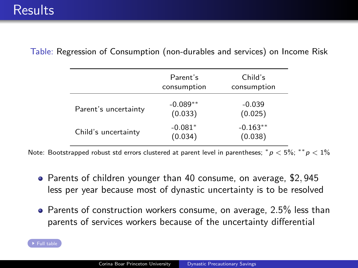|                      | Parent's<br>consumption | Child's<br>consumption |
|----------------------|-------------------------|------------------------|
| Parent's uncertainty | $-0.089**$<br>(0.033)   | $-0.039$<br>(0.025)    |
| Child's uncertainty  | $-0.081*$<br>(0.034)    | $-0.163**$<br>(0.038)  |

<span id="page-20-0"></span>Table: Regression of Consumption (non-durables and services) on Income Risk

Note: Bootstrapped robust std errors clustered at parent level in parentheses;  $*p < 5\%; **p < 1\%$ 

- Parents of children younger than 40 consume, on average, \$2, 945 less per year because most of dynastic uncertainty is to be resolved
- Parents of construction workers consume, on average, 2.5% less than parents of services workers because of the uncertainty differential

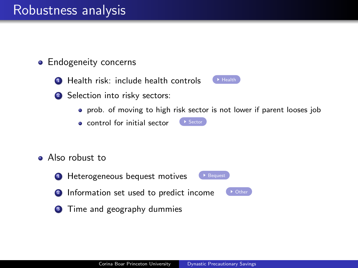# Robustness analysis

- <span id="page-21-0"></span>• Endogeneity concerns
	- $\bullet$  [Health](#page-45-0) risk: include health controls  $\bullet$  Health
	- <sup>2</sup> Selection into risky sectors:



- prob. of moving to high risk sector is not lower if parent looses job
- $\bullet$  control for initial sector  $\bullet$  [Sector](#page-46-0)
- Also robust to
	- **1** Heterogeneous bequest motives Pequest
	- **2** Information set used to predict income
- 

<sup>3</sup> Time and geography dummies

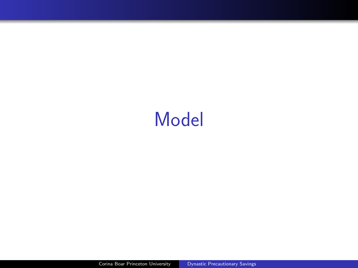# Model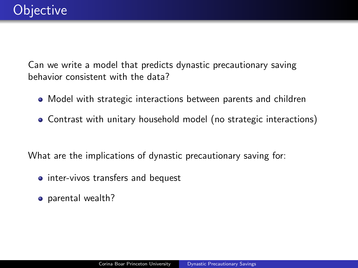Can we write a model that predicts dynastic precautionary saving behavior consistent with the data?

- Model with strategic interactions between parents and children
- Contrast with unitary household model (no strategic interactions)

What are the implications of dynastic precautionary saving for:

- inter-vivos transfers and bequest
- parental wealth?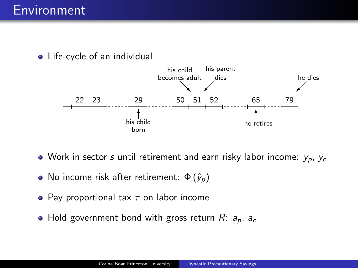• Life-cycle of an individual



- Work in sector s until retirement and earn risky labor income:  $y_p$ ,  $y_c$
- No income risk after retirement:  $\Phi(\hat{y}_p)$
- Pay proportional tax  $\tau$  on labor income
- Hold government bond with gross return  $R: a_p, a_c$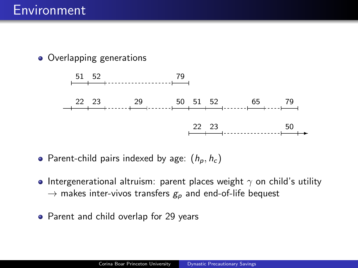• Overlapping generations



• Parent-child pairs indexed by age:  $(h_p, h_c)$ 

- Intergenerational altruism: parent places weight  $\gamma$  on child's utility  $\rightarrow$  makes inter-vivos transfers  $g_p$  and end-of-life bequest
- Parent and child overlap for 29 years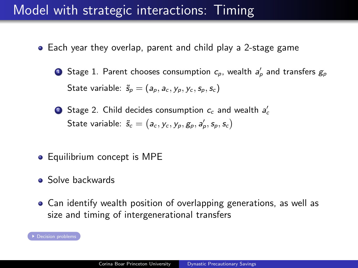# Model with strategic interactions: Timing

- <span id="page-26-0"></span>Each year they overlap, parent and child play a 2-stage game
	- $\bullet$  Stage 1. Parent chooses consumption  $c_\rho$ , wealth  $a'_\rho$  and transfers  $g_\rho$ State variable:  $\tilde{s}_p = (a_p, a_c, y_p, y_c, s_p, s_c)$
	- $\bullet$  Stage 2. Child decides consumption  $c_c$  and wealth  $a_c'$ State variable:  $\tilde{s}_c = \big(a_c, y_c, y_p, g_p, a'_p, s_p, s_c\big)$
- Equilibrium concept is MPE
- **•** Solve backwards
- Can identify wealth position of overlapping generations, as well as size and timing of intergenerational transfers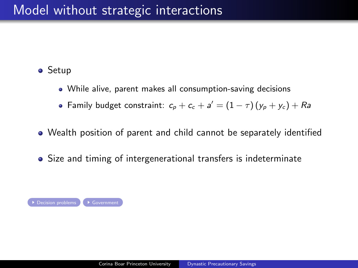<span id="page-27-0"></span>• Setup

- While alive, parent makes all consumption-saving decisions
- Family budget constraint:  $c_p + c_c + a' = (1 \tau)(y_p + y_c) + Ra$
- Wealth position of parent and child cannot be separately identified
- Size and timing of intergenerational transfers is indeterminate

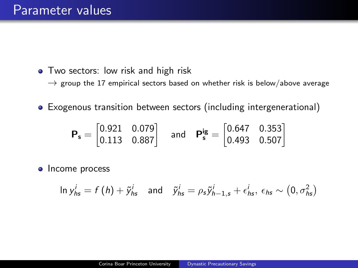- Two sectors: low risk and high risk
	- $\rightarrow$  group the 17 empirical sectors based on whether risk is below/above average
- Exogenous transition between sectors (including intergenerational)

$$
\boldsymbol{P_s} = \begin{bmatrix} 0.921 & 0.079 \\ 0.113 & 0.887 \end{bmatrix} \quad \text{and} \quad \boldsymbol{P_s^{ig}} = \begin{bmatrix} 0.647 & 0.353 \\ 0.493 & 0.507 \end{bmatrix}
$$

• Income process

$$
\ln y_{hs}^i = f(h) + \tilde{y}_{hs}^i \quad \text{and} \quad \tilde{y}_{hs}^i = \rho_s \tilde{y}_{h-1,s}^i + \epsilon_{hs}^i, \ \epsilon_{hs} \sim (0, \sigma_{hs}^2)
$$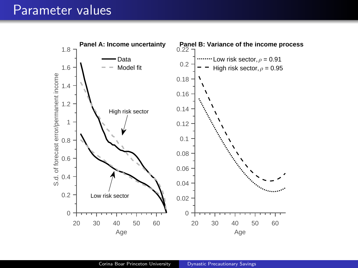## Parameter values

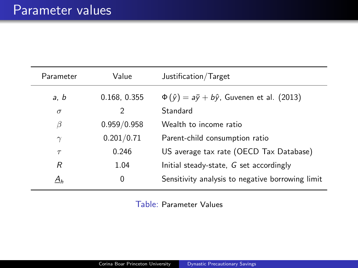| Parameter | Value        | Justification/Target                                          |
|-----------|--------------|---------------------------------------------------------------|
| a, b      | 0.168, 0.355 | $\Phi(\hat{y}) = a\bar{y} + b\hat{y}$ , Guvenen et al. (2013) |
| $\sigma$  | 2            | Standard                                                      |
| β         | 0.959/0.958  | Wealth to income ratio                                        |
| $\gamma$  | 0.201/0.71   | Parent-child consumption ratio                                |
| $\tau$    | 0.246        | US average tax rate (OECD Tax Database)                       |
| R         | 1.04         | Initial steady-state, G set accordingly                       |
| $A_h$     | 0            | Sensitivity analysis to negative borrowing limit              |

Table: Parameter Values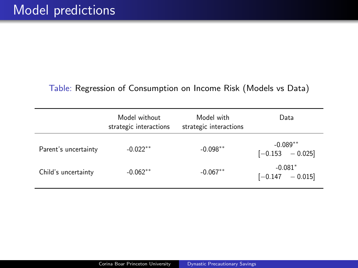### Table: Regression of Consumption on Income Risk (Models vs Data)

|                      | Model without<br>strategic interactions | Model with<br>strategic interactions | Data                             |
|----------------------|-----------------------------------------|--------------------------------------|----------------------------------|
| Parent's uncertainty | $-0.022**$                              | $-0.098**$                           | $-0.089**$<br>$[-0.153 - 0.025]$ |
| Child's uncertainty  | $-0.062**$                              | $-0.067**$                           | $-0.081*$<br>$[-0.147 - 0.015]$  |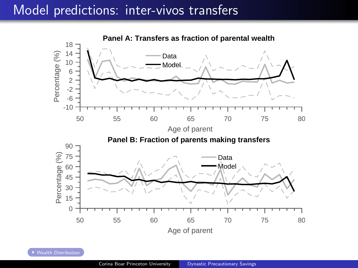## Model predictions: inter-vivos transfers

<span id="page-32-0"></span>

[Wealth Distribution](#page-54-1)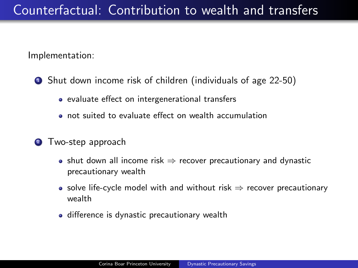Implementation:

- **1** Shut down income risk of children (individuals of age 22-50)
	- evaluate effect on intergenerational transfers
	- not suited to evaluate effect on wealth accumulation
- <sup>2</sup> Two-step approach
	- shut down all income risk  $\Rightarrow$  recover precautionary and dynastic precautionary wealth
	- solve life-cycle model with and without risk  $\Rightarrow$  recover precautionary wealth
	- difference is dynastic precautionary wealth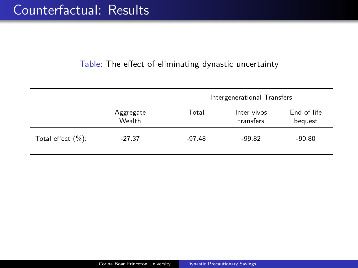### Table: The effect of eliminating dynastic uncertainty

|                       |                     |          | Intergenerational Transfers |                        |
|-----------------------|---------------------|----------|-----------------------------|------------------------|
|                       | Aggregate<br>Wealth | Total    | Inter-vivos<br>transfers    | End-of-life<br>bequest |
| Total effect $(\%)$ : | $-27.37$            | $-97.48$ | $-99.82$                    | $-90.80$               |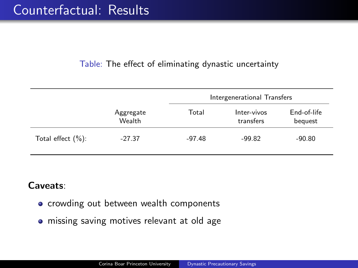## Table: The effect of eliminating dynastic uncertainty

|                       |                     |          | Intergenerational Transfers |                        |
|-----------------------|---------------------|----------|-----------------------------|------------------------|
|                       | Aggregate<br>Wealth | Total    | Inter-vivos<br>transfers    | End-of-life<br>bequest |
| Total effect $(\%)$ : | $-27.37$            | $-97.48$ | $-99.82$                    | $-90.80$               |

## Caveats:

- **•** crowding out between wealth components
- **•** missing saving motives relevant at old age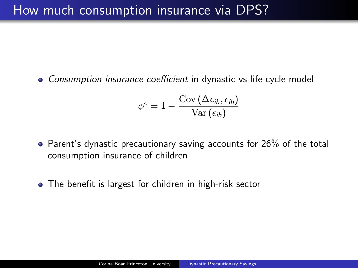Consumption insurance coefficient in dynastic vs life-cycle model

$$
\phi^{\epsilon} = 1 - \frac{\text{Cov}(\Delta c_{ih}, \epsilon_{ih})}{\text{Var}(\epsilon_{ih})}
$$

- Parent's dynastic precautionary saving accounts for 26% of the total consumption insurance of children
- The benefit is largest for children in high-risk sector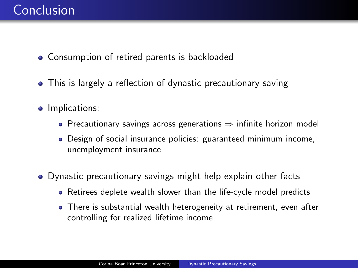- Consumption of retired parents is backloaded
- This is largely a reflection of dynastic precautionary saving
- **·** Implications:
	- Precautionary savings across generations ⇒ infinite horizon model
	- Design of social insurance policies: guaranteed minimum income, unemployment insurance
- Dynastic precautionary savings might help explain other facts
	- Retirees deplete wealth slower than the life-cycle model predicts
	- There is substantial wealth heterogeneity at retirement, even after controlling for realized lifetime income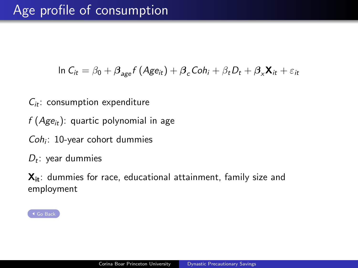<span id="page-38-0"></span>ln  $C_{it} = \beta_0 + \beta_{\text{age}} f (A g e_{it}) + \beta_c C o h_i + \beta_t D_t + \beta_x \mathbf{X}_{it} + \varepsilon_{it}$ 

- $C_{it}$ : consumption expenditure
- $f(Age_{it})$ : quartic polynomial in age
- $Coh_i$ : 10-year cohort dummies
- $D_t$ : year dummies

 $X_{it}$ : dummies for race, educational attainment, family size and employment

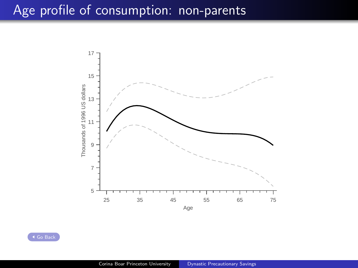## <span id="page-39-0"></span>Age profile of consumption: non-parents



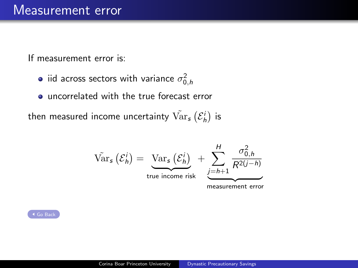<span id="page-40-0"></span>If measurement error is:

- iid across sectors with variance  $\sigma_{0,h}^2$
- uncorrelated with the true forecast error

then measured income uncertainty  $\tilde{\mathrm{Var}}_{\bm{s}} \left( \mathcal{E}_h^i \right)$  is

$$
\operatorname{Var}_{s}(\mathcal{E}_{h}^{i}) = \underbrace{\operatorname{Var}_{s}(\mathcal{E}_{h}^{i})}_{\text{true income risk}} + \underbrace{\sum_{j=h+1}^{H} \frac{\sigma_{0,h}^{2}}{R^{2(j-h)}}}{\sum_{\text{measurement error}}^{R^{2j}}
$$

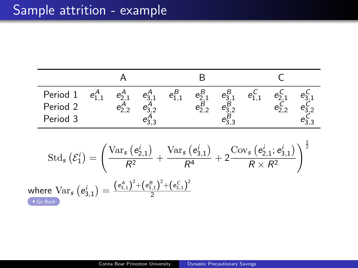<span id="page-41-0"></span>

| Period 1<br>Period 2 |  | $e_1^B$ |  | e. |  |
|----------------------|--|---------|--|----|--|
| Period 3             |  |         |  |    |  |
|                      |  |         |  |    |  |

$$
\operatorname{Std}_\mathcal{s}\left(\mathcal{E}_1^i\right)=\left(\frac{\operatorname{Var}_\mathcal{s}\left(e_{2,1}^i\right)}{R^2}+\frac{\operatorname{Var}_\mathcal{s}\left(e_{3,1}^i\right)}{R^4}+2\frac{\operatorname{Cov}_\mathcal{s}\left(e_{2,1}^i;e_{3,1}^i\right)}{R\times R^2}\right)^{\frac{1}{2}}
$$
\n
$$
\text{where }\operatorname{Var}_\mathcal{s}\left(e_{3,1}^i\right)=\frac{\left(e_{3,1}^A\right)^2+\left(e_{3,1}^B\right)^2+\left(e_{3,1}^C\right)^2}{2}
$$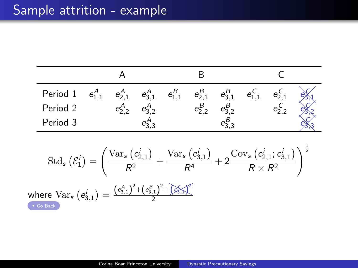# Sample attrition - example

|                                                                                                                                                                            |                                                                                                                                                                                                                                                                             | Α                       |             |             | В             |               |                         |  |
|----------------------------------------------------------------------------------------------------------------------------------------------------------------------------|-----------------------------------------------------------------------------------------------------------------------------------------------------------------------------------------------------------------------------------------------------------------------------|-------------------------|-------------|-------------|---------------|---------------|-------------------------|--|
| Period 1                                                                                                                                                                   | $e^A_{1,1}$                                                                                                                                                                                                                                                                 | $e_{2,1}^A$             | $e_{3,1}^A$ | $e^B_{1,1}$ | $e^B_{2,1}$   | $e_{3,1}^B$   | $e_{1,1}^{\mathcal{L}}$ |  |
| Period 2                                                                                                                                                                   |                                                                                                                                                                                                                                                                             | $e_{2,2}^{\mathcal{A}}$ | $e_{3,2}^A$ |             | $e_{2,2}^{B}$ | $e_{3,2}^{B}$ |                         |  |
| Period 3                                                                                                                                                                   |                                                                                                                                                                                                                                                                             |                         | $e_{3,3}^A$ |             |               | $e_{3,3}^{B}$ |                         |  |
|                                                                                                                                                                            | $\operatorname{Std}_s\left(\mathcal{E}_1^i\right) = \left(\frac{\operatorname{Var}_s\left(e_{2,1}^i\right)}{R^2} + \frac{\operatorname{Var}_s\left(e_{3,1}^i\right)}{R^4} + 2\frac{\operatorname{Cov}_s\left(e_{2,1}^i;e_{3,1}^i\right)}{R\times R^2}\right)^{\frac{1}{2}}$ |                         |             |             |               |               |                         |  |
| where $\text{Var}_{\bm{s}}\left(\bm{e}_{3.1}^{i}\right)=\frac{\left(\bm{e}_{3,1}^{A}\right)^{2}+\left(\bm{e}_{3,1}^{B}\right)^{2}+\left(\bm{\widehat{e}_{3,1}}\right)}{2}$ |                                                                                                                                                                                                                                                                             |                         |             |             |               |               |                         |  |

[Go Back](#page-15-0)

2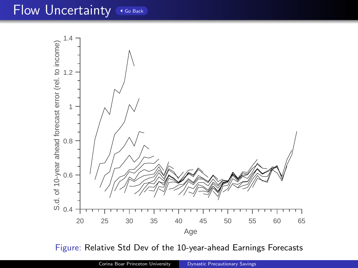## Flow Uncertainty [Go Back](#page-17-0)

<span id="page-43-0"></span>

Figure: Relative Std Dev of the 10-year-ahead Earnings Forecasts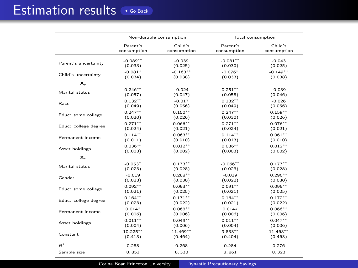## <span id="page-44-0"></span>Estimation results GGBack

|                      |                       | Non-durable consumption |                       | Total consumption      |
|----------------------|-----------------------|-------------------------|-----------------------|------------------------|
|                      | Parent's              | Child's                 | Parent's              | Child's                |
|                      | consumption           | consumption             | consumption           | consumption            |
| Parent's uncertainty | $-0.089**$            | $-0.039$                | $-0.081**$            | $-0.043$               |
|                      | (0.033)               | (0.025)                 | (0.030)               | (0.025)                |
| Child's uncertainty  | $-0.081$ <sup>*</sup> | $-0.163**$              | $-0.076$ <sup>+</sup> | $-0.149$ <sup>**</sup> |
|                      | (0.034)               | (0.038)                 | (0.033)               | (0.038)                |
| $\mathbf{x}_p$       |                       |                         |                       |                        |
| Marital status       | $0.246**$             | $-0.024$                | $0.251**$             | $-0.039$               |
|                      | (0.057)               | (0.047)                 | (0.058)               | (0.046)                |
| Race                 | $0.132**$             | $-0.017$                | $0.132**$             | $-0.026$               |
|                      | (0.049)               | (0.056)                 | (0.049)               | (0.056)                |
| Educ: some college   | $0.247**$             | $0.150**$               | $0.247**$             | $0.159**$              |
|                      | (0.030)               | (0.026)                 | (0.030)               | (0.026)                |
| Educ: college degree | $0.271**$             | $0.066**$               | $0.271**$             | $0.076**$              |
|                      | (0.024)               | (0.021)                 | (0.024)               | (0.021)                |
| Permanent income     | $0.114**$             | $0.063**$               | $0.114**$             | $0.061**$              |
|                      | (0.011)               | (0.010)                 | (0.013)               | (0.010)                |
| Asset holdings       | $0.036**$             | $0.012**$               | $0.036**$             | $0.012**$              |
|                      | (0.003)               | (0.002)                 | (0.003)               | (0.002)                |
| $\mathbf{x}$         |                       |                         |                       |                        |
| Marital status       | $-0.053"$             | $0.173**$               | $-0.066$ **           | $0.177***$             |
|                      | (0.023)               | (0.028)                 | (0.023)               | (0.028)                |
| Gender               | $-0.019$              | $0.288**$               | $-0.019$              | $0.296**$              |
|                      | (0.023)               | (0.030)                 | (0.022)               | (0.030)                |
| Educ: some college   | $0.092**$             | $0.093**$               | $0.091**$             | $0.095***$             |
|                      | (0.021)               | (0.025)                 | (0.021)               | (0.025)                |
| Educ: college degree | $0.164**$             | $0.171**$               | $0.164**$             | $0.172**$              |
|                      | (0.023)               | (0.022)                 | (0.021)               | (0.022)                |
| Permanent income     | $0.014*$              | $0.068**$               | $0.014*$              | $0.066**$              |
|                      | (0.006)               | (0.006)                 | (0.006)               | (0.006)                |
| Asset holdings       | $0.011**$             | $0.049**$               | $0.011**$             | $0.047**$              |
|                      | (0.004)               | (0.006)                 | (0.004)               | (0.006)                |
| Constant             | $10.225**$            | $11.469**$              | $9.833**$             | $11.468**$             |
|                      | (0.413)               | (0.464)                 | (0.404)               | (0.463)                |
| $\mathbb{R}^2$       | 0.288                 | 0.268                   | 0.284                 | 0.276                  |
| Sample size          | 8.851                 | 8.330                   | 8.861                 | 8.323                  |

Corina Boar Princeton University **[Dynastic Precautionary Savings](#page-0-0)**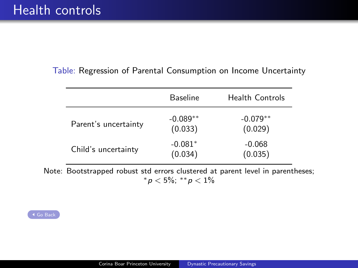### <span id="page-45-0"></span>Table: Regression of Parental Consumption on Income Uncertainty

|                      | Baseline              | <b>Health Controls</b> |
|----------------------|-----------------------|------------------------|
| Parent's uncertainty | $-0.089**$<br>(0.033) | $-0.079**$<br>(0.029)  |
| Child's uncertainty  | $-0.081*$<br>(0.034)  | $-0.068$<br>(0.035)    |

Note: Bootstrapped robust std errors clustered at parent level in parentheses; \*  $p < 5\%$ ; \*\*  $p < 1\%$ 

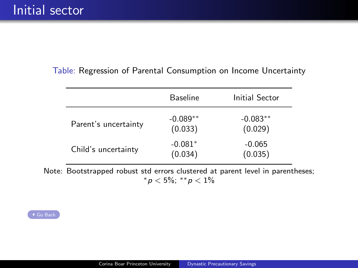#### <span id="page-46-0"></span>Table: Regression of Parental Consumption on Income Uncertainty

|                      | Baseline              | Initial Sector        |
|----------------------|-----------------------|-----------------------|
| Parent's uncertainty | $-0.089**$<br>(0.033) | $-0.083**$<br>(0.029) |
| Child's uncertainty  | $-0.081*$<br>(0.034)  | $-0.065$<br>(0.035)   |

Note: Bootstrapped robust std errors clustered at parent level in parentheses; \*  $p < 5\%$ ; \*\*  $p < 1\%$ 

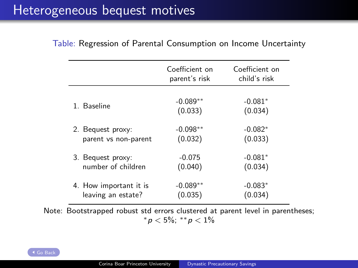# <span id="page-47-0"></span>Heterogeneous bequest motives

|                        | Coefficient on<br>parent's risk | Coefficient on<br>child's risk |
|------------------------|---------------------------------|--------------------------------|
| 1 Baseline             | $-0.089**$<br>(0.033)           | $-0.081*$<br>(0.034)           |
| 2. Bequest proxy:      | $-0.098**$                      | $-0.082*$                      |
| parent vs non-parent   | (0.032)                         | (0.033)                        |
| 3. Bequest proxy:      | $-0.075$                        | $-0.081*$                      |
| number of children     | (0.040)                         | (0.034)                        |
| 4. How important it is | $-0.089**$                      | $-0.083*$                      |
| leaving an estate?     | (0.035)                         | (0.034)                        |

#### Table: Regression of Parental Consumption on Income Uncertainty

Note: Bootstrapped robust std errors clustered at parent level in parentheses;  $* p < 5\%; *p < 1\%$ 

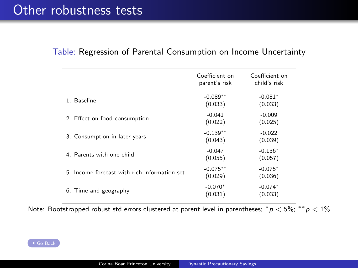|                                              | Coefficient on<br>parent's risk | Coefficient on<br>child's risk |
|----------------------------------------------|---------------------------------|--------------------------------|
| 1. Baseline                                  | $-0.089**$<br>(0.033)           | $-0.081*$<br>(0.033)           |
| 2. Effect on food consumption                | $-0.041$<br>(0.022)             | $-0.009$<br>(0.025)            |
| 3. Consumption in later years                | $-0.139**$<br>(0.043)           | $-0.022$<br>(0.039)            |
| 4. Parents with one child                    | $-0.047$<br>(0.055)             | $-0.136*$<br>(0.057)           |
| 5. Income forecast with rich information set | $-0.075**$<br>(0.029)           | $-0.075*$<br>(0.036)           |
| 6. Time and geography                        | $-0.070*$<br>(0.031)            | $-0.074*$<br>(0.033)           |

### <span id="page-48-0"></span>Table: Regression of Parental Consumption on Income Uncertainty

Note: Bootstrapped robust std errors clustered at parent level in parentheses;  $^*p < 5\%$ ;  $^{**}p < 1\%$ 

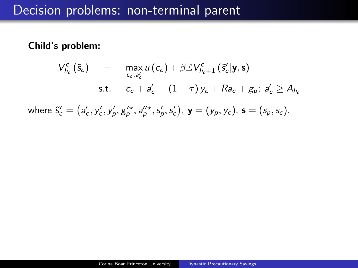<span id="page-49-0"></span>Child's problem:

$$
V_{h_c}^c(\tilde{s}_c) = \max_{c_c, a'_c} u(c_c) + \beta \mathbb{E} V_{h_c+1}^c(\tilde{s}'_c | \mathbf{y}, \mathbf{s})
$$
  
s.t. 
$$
c_c + a'_c = (1 - \tau) y_c + Ra_c + g_p; a'_c \ge A_{h_c}
$$

where  $\tilde{s}'_c = (a'_c, y'_c, y'_p, g'^\star_\rho, a'^\star_\rho, s'_p, s'_c)$ ,  ${\bf y} = (y_p, y_c)$ ,  ${\bf s} = (s_p, s_c)$ .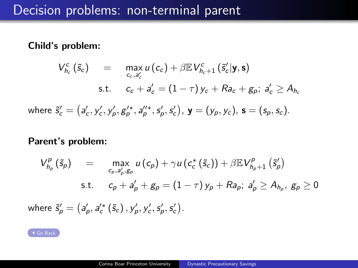### Child's problem:

$$
V_{h_c}^c(\tilde{s}_c) = \max_{c_c, a'_c} u(c_c) + \beta \mathbb{E} V_{h_c+1}^c(\tilde{s}'_c | \mathbf{y}, \mathbf{s})
$$
  
s.t. 
$$
c_c + a'_c = (1 - \tau) y_c + Ra_c + g_p; a'_c \ge A_{h_c}
$$

where 
$$
\tilde{s}'_c = (a'_c, y'_c, y'_p, g'^+_p, a''_p, s'_p, s'_c)
$$
,  $\mathbf{y} = (y_p, y_c)$ ,  $\mathbf{s} = (s_p, s_c)$ .

### Parent's problem:

$$
V_{h_p}^p(\tilde{s}_p) = \max_{c_p, a'_p, g_p} u(c_p) + \gamma u(c_c^*(\tilde{s}_c)) + \beta \mathbb{E} V_{h_p+1}^p(\tilde{s}'_p)
$$
  
s.t.  $c_p + a'_p + g_p = (1 - \tau) y_p + R a_p; a'_p \ge A_{h_p}, g_p \ge 0$   
where  $\tilde{s}'_p = (a'_p, a'_c(\tilde{s}_c), y'_p, y'_c, s'_p, s'_c)$ .

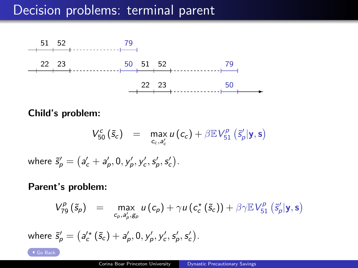# Decision problems: terminal parent



Child's problem:

$$
V_{50}^c(\tilde{s}_c) = \max_{c_c, a'_c} u(c_c) + \beta \mathbb{E} V_{51}^p(\tilde{s}'_p | \mathbf{y}, \mathbf{s})
$$

where  $\tilde{s}'_p = \left(a'_c + a'_p, 0, y'_p, y'_c, s'_p, s'_c\right)$ .

Parent's problem:

$$
V_{79}^p(\tilde{s}_p) = \max_{c_p, a'_p, g_p} u(c_p) + \gamma u(c_c^*(\tilde{s}_c)) + \beta \gamma \mathbb{E} V_{51}^p(\tilde{s}'_p | \mathbf{y}, \mathbf{s})
$$

where  $\tilde{s}^{\prime}_{\rho}=\left(a^{\prime\star}_{c}\left(\tilde{s}_{c}\right)+a^{\prime}_{\rho},0,y^{\prime}_{\rho},y^{\prime}_{c},s^{\prime}_{\rho},s^{\prime}_{c}\right)$  .

[Go Back](#page-26-0)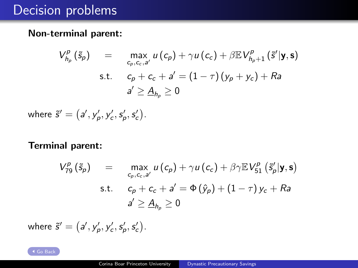# Decision problems

### <span id="page-52-0"></span>Non-terminal parent:

$$
V_{h_p}^p(\tilde{s}_p) = \max_{c_p, c_c, a'} u(c_p) + \gamma u(c_c) + \beta \mathbb{E} V_{h_p+1}^p(\tilde{s}'|\mathbf{y}, \mathbf{s})
$$
  
s.t.  $c_p + c_c + a' = (1 - \tau)(y_p + y_c) + Ra$   

$$
a' \geq \underline{A}_{h_p} \geq 0
$$

where  $\tilde{s}' = (a', y'_p, y'_c, s'_p, s'_c)$ .

### Terminal parent:

$$
V_{79}^p(\tilde{s}_p) = \max_{c_p, c_c, a'} u(c_p) + \gamma u(c_c) + \beta \gamma \mathbb{E} V_{51}^p(\tilde{s}'_p | \mathbf{y}, \mathbf{s})
$$
  
s.t.  $c_p + c_c + a' = \Phi(\hat{y}_p) + (1 - \tau) y_c + R a$   

$$
a' \geq \underline{A}_{h_p} \geq 0
$$

where  $\tilde{s}' = (a', y'_p, y'_c, s'_p, s'_c)$ .

[Go Back](#page-27-0)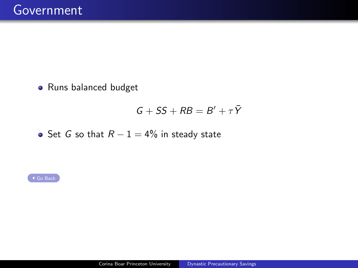<span id="page-53-0"></span>Runs balanced budget

$$
G+SS+RB=B'+\tau\bar{Y}
$$

• Set G so that  $R - 1 = 4\%$  in steady state